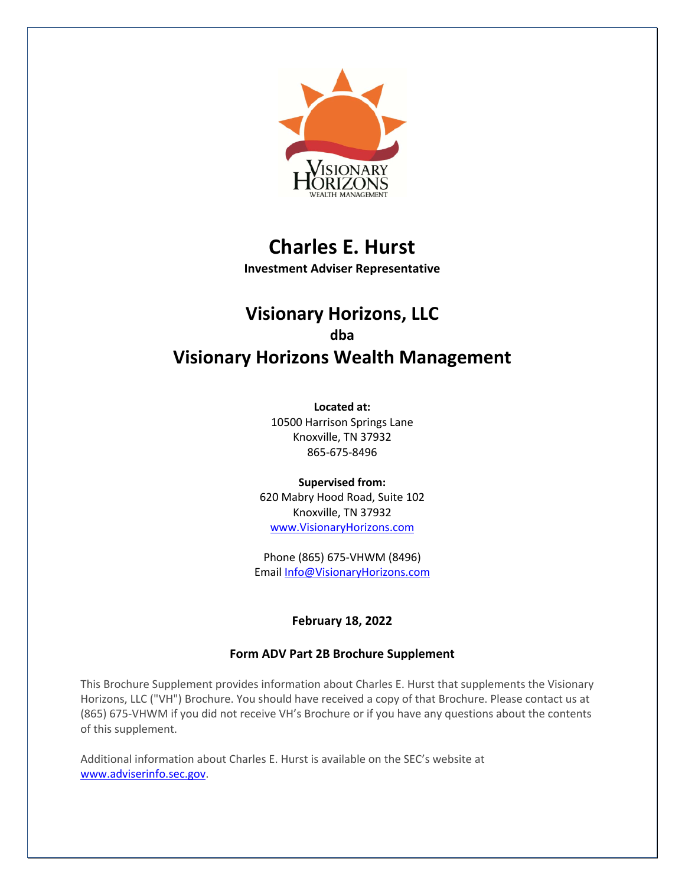

# **Charles E. Hurst**

**Investment Adviser Representative**

## **Visionary Horizons, LLC dba Visionary Horizons Wealth Management**

**Located at:** 10500 Harrison Springs Lane Knoxville, TN 37932 865-675-8496

**Supervised from:** 620 Mabry Hood Road, Suite 102 Knoxville, TN 37932 www.VisionaryHorizons.com

Phone (865) 675-VHWM (8496) Email Info@VisionaryHorizons.com

## **February 18, 2022**

## **Form ADV Part 2B Brochure Supplement**

This Brochure Supplement provides information about Charles E. Hurst that supplements the Visionary Horizons, LLC ("VH") Brochure. You should have received a copy of that Brochure. Please contact us at (865) 675-VHWM if you did not receive VH's Brochure or if you have any questions about the contents of this supplement.

Additional information about Charles E. Hurst is available on the SEC's website at www.adviserinfo.sec.gov.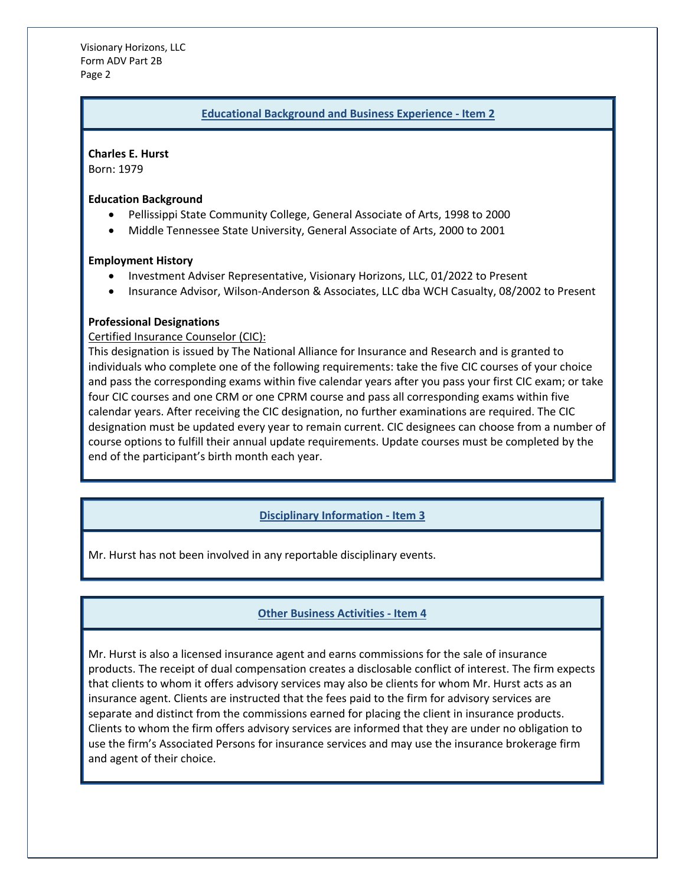Visionary Horizons, LLC Form ADV Part 2B Page 2

#### **Educational Background and Business Experience - Item 2**

**Charles E. Hurst** Born: 1979

#### **Education Background**

- Pellissippi State Community College, General Associate of Arts, 1998 to 2000
- Middle Tennessee State University, General Associate of Arts, 2000 to 2001

#### **Employment History**

- Investment Adviser Representative, Visionary Horizons, LLC, 01/2022 to Present
- Insurance Advisor, Wilson-Anderson & Associates, LLC dba WCH Casualty, 08/2002 to Present

#### **Professional Designations**

#### Certified Insurance Counselor (CIC):

This designation is issued by The National Alliance for Insurance and Research and is granted to individuals who complete one of the following requirements: take the five CIC courses of your choice and pass the corresponding exams within five calendar years after you pass your first CIC exam; or take four CIC courses and one CRM or one CPRM course and pass all corresponding exams within five calendar years. After receiving the CIC designation, no further examinations are required. The CIC designation must be updated every year to remain current. CIC designees can choose from a number of course options to fulfill their annual update requirements. Update courses must be completed by the end of the participant's birth month each year.

## **Disciplinary Information - Item 3**

Mr. Hurst has not been involved in any reportable disciplinary events.

## **Other Business Activities - Item 4**

Mr. Hurst is also a licensed insurance agent and earns commissions for the sale of insurance products. The receipt of dual compensation creates a disclosable conflict of interest. The firm expects that clients to whom it offers advisory services may also be clients for whom Mr. Hurst acts as an insurance agent. Clients are instructed that the fees paid to the firm for advisory services are separate and distinct from the commissions earned for placing the client in insurance products. Clients to whom the firm offers advisory services are informed that they are under no obligation to use the firm's Associated Persons for insurance services and may use the insurance brokerage firm and agent of their choice.